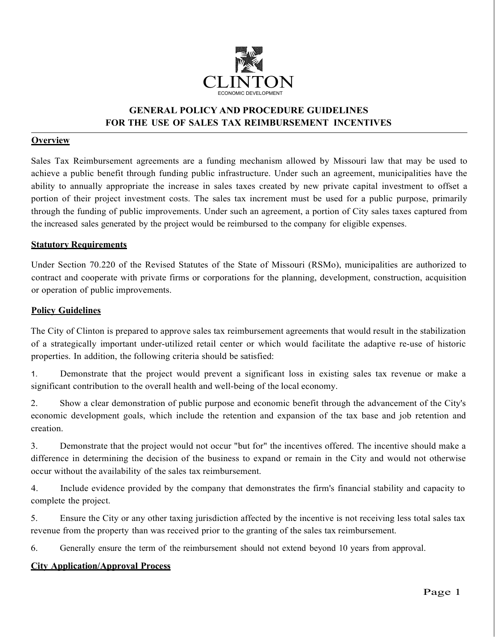

# **GENERAL POLICY AND PROCEDURE GUIDELINES FOR THE USE OF SALES TAX REIMBURSEMENT INCENTIVES**

## **Overview**

Sales Tax Reimbursement agreements are a funding mechanism allowed by Missouri law that may be used to achieve a public benefit through funding public infrastructure. Under such an agreement, municipalities have the ability to annually appropriate the increase in sales taxes created by new private capital investment to offset a portion of their project investment costs. The sales tax increment must be used for a public purpose, primarily through the funding of public improvements. Under such an agreement, a portion of City sales taxes captured from the increased sales generated by the project would be reimbursed to the company for eligible expenses.

#### **Statutory Requirements**

Under Section 70.220 of the Revised Statutes of the State of Missouri (RSMo), municipalities are authorized to contract and cooperate with private firms or corporations for the planning, development, construction, acquisition or operation of public improvements.

### **Policy Guidelines**

The City of Clinton is prepared to approve sales tax reimbursement agreements that would result in the stabilization of a strategically important under-utilized retail center or which would facilitate the adaptive re-use of historic properties. In addition, the following criteria should be satisfied:

1. Demonstrate that the project would prevent a significant loss in existing sales tax revenue or make a significant contribution to the overall health and well-being of the local economy.

2. Show a clear demonstration of public purpose and economic benefit through the advancement of the City's economic development goals, which include the retention and expansion of the tax base and job retention and creation.

3. Demonstrate that the project would not occur "but for" the incentives offered. The incentive should make a difference in determining the decision of the business to expand or remain in the City and would not otherwise occur without the availability of the sales tax reimbursement.

4. Include evidence provided by the company that demonstrates the firm's financial stability and capacity to complete the project.

5. Ensure the City or any other taxing jurisdiction affected by the incentive is not receiving less total sales tax revenue from the property than was received prior to the granting of the sales tax reimbursement.

6. Generally ensure the term of the reimbursement should not extend beyond 10 years from approval.

## **City Application/Approval Process**